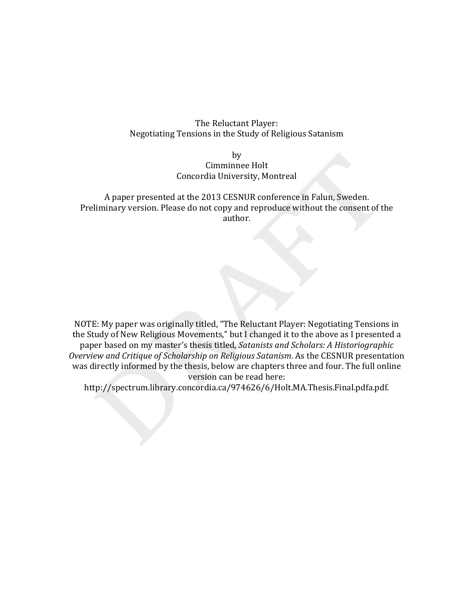# The Reluctant Player: Negotiating Tensions in the Study of Religious Satanism

# by Cimminnee Holt Concordia University, Montreal

# A paper presented at the 2013 CESNUR conference in Falun, Sweden. Preliminary version. Please do not copy and reproduce without the consent of the author.

NOTE: My paper was originally titled, "The Reluctant Player: Negotiating Tensions in the Study of New Religious Movements," but I changed it to the above as I presented a paper based on my master's thesis titled, *Satanists and Scholars: A Historiographic Overview and Critique of Scholarship on Religious Satanism. As the CESNUR presentation* was directly informed by the thesis, below are chapters three and four. The full online version can be read here:

http://spectrum.library.concordia.ca/974626/6/Holt.MA.Thesis.Final.pdfa.pdf.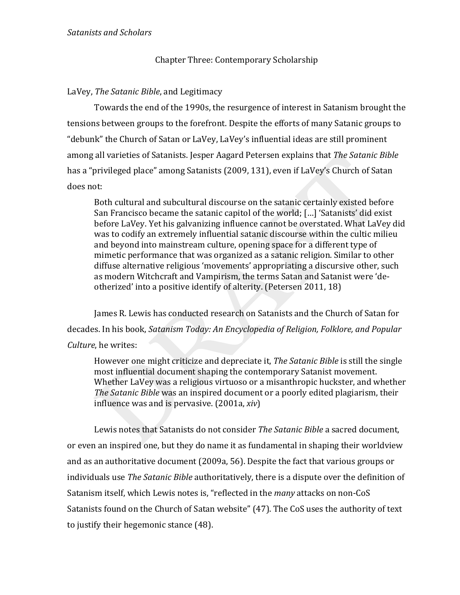# Chapter Three: Contemporary Scholarship

# LaVey, The Satanic Bible, and Legitimacy

Towards the end of the 1990s, the resurgence of interest in Satanism brought the tensions between groups to the forefront. Despite the efforts of many Satanic groups to "debunk" the Church of Satan or LaVey, LaVey's influential ideas are still prominent among all varieties of Satanists. Jesper Aagard Petersen explains that The Satanic Bible has a "privileged place" among Satanists (2009, 131), even if LaVey's Church of Satan does not:

Both cultural and subcultural discourse on the satanic certainly existed before San Francisco became the satanic capitol of the world; [...] 'Satanists' did exist before LaVey. Yet his galvanizing influence cannot be overstated. What LaVey did was to codify an extremely influential satanic discourse within the cultic milieu and beyond into mainstream culture, opening space for a different type of mimetic performance that was organized as a satanic religion. Similar to other diffuse alternative religious 'movements' appropriating a discursive other, such as modern Witchcraft and Vampirism, the terms Satan and Satanist were 'deotherized' into a positive identify of alterity. (Petersen 2011, 18)

James R. Lewis has conducted research on Satanists and the Church of Satan for decades. In his book, Satanism Today: An Encyclopedia of Religion, Folklore, and Popular Culture, he writes:

However one might criticize and depreciate it, The Satanic Bible is still the single most influential document shaping the contemporary Satanist movement. Whether LaVey was a religious virtuoso or a misanthropic huckster, and whether The Satanic Bible was an inspired document or a poorly edited plagiarism, their influence was and is pervasive. (2001a, xiv)

Lewis notes that Satanists do not consider The Satanic Bible a sacred document, or even an inspired one, but they do name it as fundamental in shaping their worldview and as an authoritative document (2009a, 56). Despite the fact that various groups or individuals use The Satanic Bible authoritatively, there is a dispute over the definition of Satanism itself, which Lewis notes is, "reflected in the *many* attacks on non-CoS Satanists found on the Church of Satan website" (47). The CoS uses the authority of text to justify their hegemonic stance (48).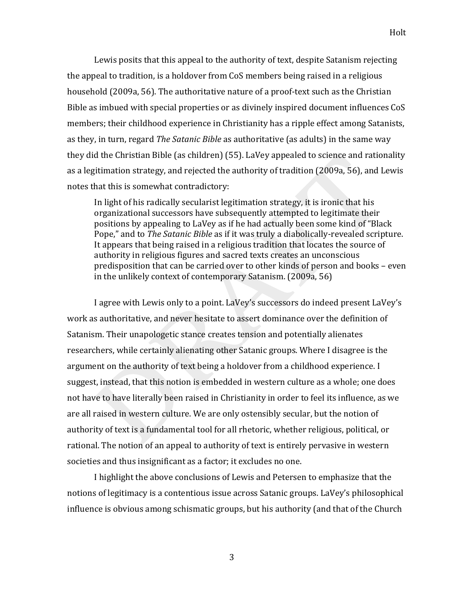Lewis posits that this appeal to the authority of text, despite Satanism rejecting the appeal to tradition, is a holdover from CoS members being raised in a religious household (2009a, 56). The authoritative nature of a proof-text such as the Christian Bible as imbued with special properties or as divinely inspired document influences CoS members; their childhood experience in Christianity has a ripple effect among Satanists, as they, in turn, regard *The Satanic Bible* as authoritative (as adults) in the same way they did the Christian Bible (as children) (55). LaVey appealed to science and rationality as a legitimation strategy, and rejected the authority of tradition (2009a, 56), and Lewis notes that this is somewhat contradictory:

In light of his radically secularist legitimation strategy, it is ironic that his organizational successors have subsequently attempted to legitimate their positions by appealing to LaVey as if he had actually been some kind of "Black" Pope," and to *The Satanic Bible* as if it was truly a diabolically-revealed scripture. It appears that being raised in a religious tradition that locates the source of authority in religious figures and sacred texts creates an unconscious predisposition that can be carried over to other kinds of person and books – even in the unlikely context of contemporary Satanism. (2009a, 56)

I agree with Lewis only to a point. LaVey's successors do indeed present LaVey's work as authoritative, and never hesitate to assert dominance over the definition of Satanism. Their unapologetic stance creates tension and potentially alienates researchers, while certainly alienating other Satanic groups. Where I disagree is the argument on the authority of text being a holdover from a childhood experience. I suggest, instead, that this notion is embedded in western culture as a whole; one does not have to have literally been raised in Christianity in order to feel its influence, as we are all raised in western culture. We are only ostensibly secular, but the notion of authority of text is a fundamental tool for all rhetoric, whether religious, political, or rational. The notion of an appeal to authority of text is entirely pervasive in western societies and thus insignificant as a factor; it excludes no one.

I highlight the above conclusions of Lewis and Petersen to emphasize that the notions of legitimacy is a contentious issue across Satanic groups. LaVey's philosophical influence is obvious among schismatic groups, but his authority (and that of the Church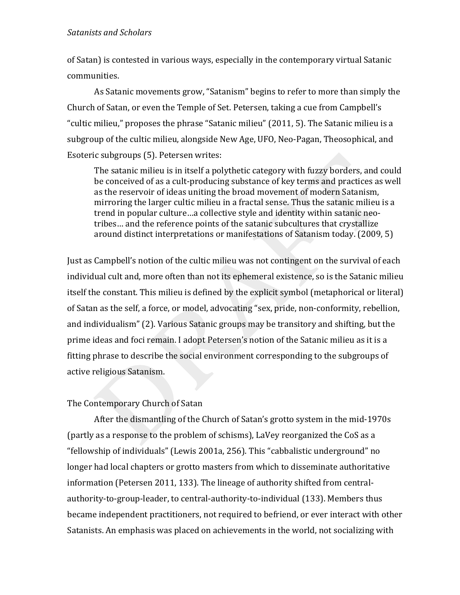of Satan) is contested in various ways, especially in the contemporary virtual Satanic communities.

As Satanic movements grow, "Satanism" begins to refer to more than simply the Church of Satan, or even the Temple of Set. Petersen, taking a cue from Campbell's "cultic milieu," proposes the phrase "Satanic milieu" (2011, 5). The Satanic milieu is a subgroup of the cultic milieu, alongside New Age, UFO, Neo-Pagan, Theosophical, and Esoteric subgroups (5). Petersen writes:

The satanic milieu is in itself a polythetic category with fuzzy borders, and could be conceived of as a cult-producing substance of key terms and practices as well as the reservoir of ideas uniting the broad movement of modern Satanism, mirroring the larger cultic milieu in a fractal sense. Thus the satanic milieu is a trend in popular culture…a collective style and identity within satanic neotribes... and the reference points of the satanic subcultures that crystallize around distinct interpretations or manifestations of Satanism today. (2009, 5)

Just as Campbell's notion of the cultic milieu was not contingent on the survival of each individual cult and, more often than not its ephemeral existence, so is the Satanic milieu itself the constant. This milieu is defined by the explicit symbol (metaphorical or literal) of Satan as the self, a force, or model, advocating "sex, pride, non-conformity, rebellion, and individualism" (2). Various Satanic groups may be transitory and shifting, but the prime ideas and foci remain. I adopt Petersen's notion of the Satanic milieu as it is a fitting phrase to describe the social environment corresponding to the subgroups of active religious Satanism.

# The Contemporary Church of Satan

After the dismantling of the Church of Satan's grotto system in the mid-1970s (partly as a response to the problem of schisms), LaVey reorganized the CoS as a "fellowship of individuals" (Lewis 2001a, 256). This "cabbalistic underground" no longer had local chapters or grotto masters from which to disseminate authoritative information (Petersen 2011, 133). The lineage of authority shifted from centralauthority-to-group-leader, to central-authority-to-individual (133). Members thus became independent practitioners, not required to befriend, or ever interact with other Satanists. An emphasis was placed on achievements in the world, not socializing with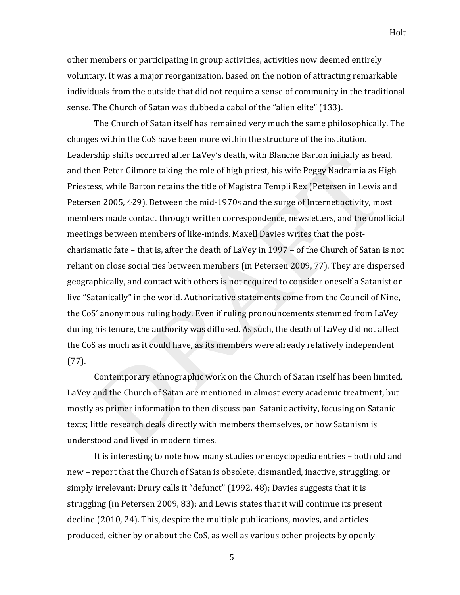other members or participating in group activities, activities now deemed entirely voluntary. It was a major reorganization, based on the notion of attracting remarkable individuals from the outside that did not require a sense of community in the traditional sense. The Church of Satan was dubbed a cabal of the "alien elite" (133).

The Church of Satan itself has remained very much the same philosophically. The changes within the CoS have been more within the structure of the institution. Leadership shifts occurred after LaVey's death, with Blanche Barton initially as head, and then Peter Gilmore taking the role of high priest, his wife Peggy Nadramia as High Priestess, while Barton retains the title of Magistra Templi Rex (Petersen in Lewis and Petersen 2005, 429). Between the mid-1970s and the surge of Internet activity, most members made contact through written correspondence, newsletters, and the unofficial meetings between members of like-minds. Maxell Davies writes that the postcharismatic fate – that is, after the death of LaVey in 1997 – of the Church of Satan is not reliant on close social ties between members (in Petersen 2009, 77). They are dispersed geographically, and contact with others is not required to consider oneself a Satanist or live "Satanically" in the world. Authoritative statements come from the Council of Nine, the CoS' anonymous ruling body. Even if ruling pronouncements stemmed from LaVey during his tenure, the authority was diffused. As such, the death of LaVey did not affect the CoS as much as it could have, as its members were already relatively independent  $(77)$ .

Contemporary ethnographic work on the Church of Satan itself has been limited. LaVey and the Church of Satan are mentioned in almost every academic treatment, but mostly as primer information to then discuss pan-Satanic activity, focusing on Satanic texts; little research deals directly with members themselves, or how Satanism is understood and lived in modern times.

It is interesting to note how many studies or encyclopedia entries – both old and new – report that the Church of Satan is obsolete, dismantled, inactive, struggling, or simply irrelevant: Drury calls it "defunct" (1992, 48); Davies suggests that it is struggling (in Petersen 2009, 83); and Lewis states that it will continue its present decline (2010, 24). This, despite the multiple publications, movies, and articles produced, either by or about the CoS, as well as various other projects by openly-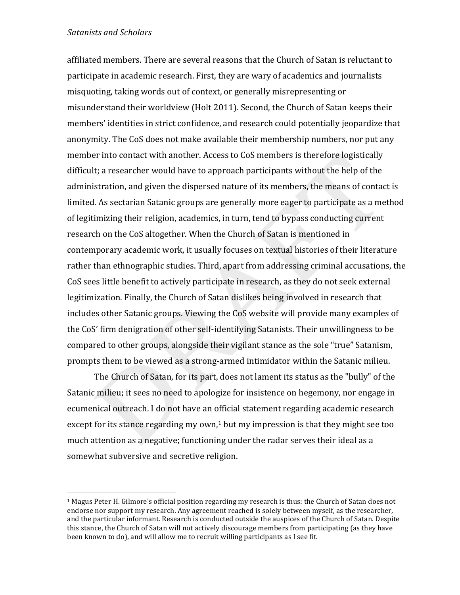!!!!!!!!!!!!!!!!!!!!!!!!!!!!!!!!!!!!!!!!!!!!!!!!!!!!!!!

affiliated members. There are several reasons that the Church of Satan is reluctant to participate in academic research. First, they are wary of academics and journalists misquoting, taking words out of context, or generally misrepresenting or misunderstand their worldview (Holt 2011). Second, the Church of Satan keeps their members' identities in strict confidence, and research could potentially jeopardize that anonymity. The CoS does not make available their membership numbers, nor put any member into contact with another. Access to CoS members is therefore logistically difficult; a researcher would have to approach participants without the help of the administration, and given the dispersed nature of its members, the means of contact is limited. As sectarian Satanic groups are generally more eager to participate as a method of legitimizing their religion, academics, in turn, tend to bypass conducting current research on the CoS altogether. When the Church of Satan is mentioned in contemporary academic work, it usually focuses on textual histories of their literature rather than ethnographic studies. Third, apart from addressing criminal accusations, the CoS sees little benefit to actively participate in research, as they do not seek external legitimization. Finally, the Church of Satan dislikes being involved in research that includes other Satanic groups. Viewing the CoS website will provide many examples of the CoS' firm denigration of other self-identifying Satanists. Their unwillingness to be compared to other groups, alongside their vigilant stance as the sole "true" Satanism, prompts them to be viewed as a strong-armed intimidator within the Satanic milieu.

The Church of Satan, for its part, does not lament its status as the "bully" of the Satanic milieu; it sees no need to apologize for insistence on hegemony, nor engage in ecumenical outreach. I do not have an official statement regarding academic research except for its stance regarding my own,<sup>1</sup> but my impression is that they might see too much attention as a negative; functioning under the radar serves their ideal as a somewhat subversive and secretive religion.

<sup>&</sup>lt;sup>1</sup> Magus Peter H. Gilmore's official position regarding my research is thus: the Church of Satan does not  $\overline{a}$ endorse nor support my research. Any agreement reached is solely between myself, as the researcher, and the particular informant. Research is conducted outside the auspices of the Church of Satan. Despite this stance, the Church of Satan will not actively discourage members from participating (as they have been known to do), and will allow me to recruit willing participants as I see fit.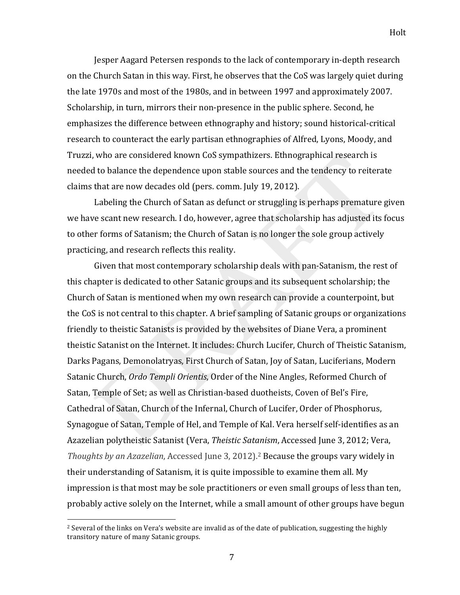Jesper Aagard Petersen responds to the lack of contemporary in-depth research on the Church Satan in this way. First, he observes that the CoS was largely quiet during the late 1970s and most of the 1980s, and in between 1997 and approximately 2007. Scholarship, in turn, mirrors their non-presence in the public sphere. Second, he emphasizes the difference between ethnography and history; sound historical-critical research to counteract the early partisan ethnographies of Alfred, Lyons, Moody, and Truzzi, who are considered known CoS sympathizers. Ethnographical research is needed to balance the dependence upon stable sources and the tendency to reiterate claims that are now decades old (pers. comm. July 19, 2012).

Labeling the Church of Satan as defunct or struggling is perhaps premature given we have scant new research. I do, however, agree that scholarship has adjusted its focus to other forms of Satanism; the Church of Satan is no longer the sole group actively practicing, and research reflects this reality.

Given that most contemporary scholarship deals with pan-Satanism, the rest of this chapter is dedicated to other Satanic groups and its subsequent scholarship; the Church of Satan is mentioned when my own research can provide a counterpoint, but the CoS is not central to this chapter. A brief sampling of Satanic groups or organizations friendly to theistic Satanists is provided by the websites of Diane Vera, a prominent theistic Satanist on the Internet. It includes: Church Lucifer, Church of Theistic Satanism, Darks Pagans, Demonolatryas, First Church of Satan, Joy of Satan, Luciferians, Modern Satanic Church, *Ordo Templi Orientis*, Order of the Nine Angles, Reformed Church of Satan, Temple of Set; as well as Christian-based duotheists, Coven of Bel's Fire, Cathedral of Satan, Church of the Infernal, Church of Lucifer, Order of Phosphorus, Synagogue of Satan, Temple of Hel, and Temple of Kal. Vera herself self-identifies as an Azazelian polytheistic Satanist (Vera, Theistic Satanism, Accessed June 3, 2012; Vera, Thoughts by an Azazelian, Accessed June 3, 2012).<sup>2</sup> Because the groups vary widely in their understanding of Satanism, it is quite impossible to examine them all. My impression is that most may be sole practitioners or even small groups of less than ten, probably active solely on the Internet, while a small amount of other groups have begun

<sup>&</sup>lt;sup>2</sup> Several of the links on Vera's website are invalid as of the date of publication, suggesting the highly transitory nature of many Satanic groups.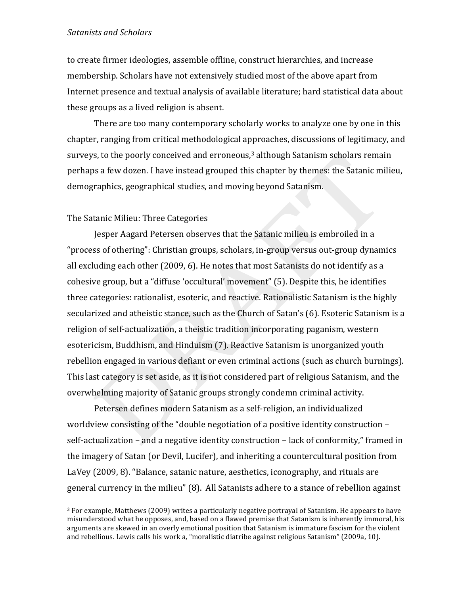to create firmer ideologies, assemble offline, construct hierarchies, and increase membership. Scholars have not extensively studied most of the above apart from Internet presence and textual analysis of available literature; hard statistical data about these groups as a lived religion is absent.

There are too many contemporary scholarly works to analyze one by one in this chapter, ranging from critical methodological approaches, discussions of legitimacy, and surveys, to the poorly conceived and erroneous, $3$  although Satanism scholars remain perhaps a few dozen. I have instead grouped this chapter by themes: the Satanic milieu, demographics, geographical studies, and moving beyond Satanism.

### The Satanic Milieu: Three Categories

!!!!!!!!!!!!!!!!!!!!!!!!!!!!!!!!!!!!!!!!!!!!!!!!!!!!!!!

Jesper Aagard Petersen observes that the Satanic milieu is embroiled in a "process of othering": Christian groups, scholars, in-group versus out-group dynamics all excluding each other (2009, 6). He notes that most Satanists do not identify as a cohesive group, but a "diffuse 'occultural' movement" (5). Despite this, he identifies three categories: rationalist, esoteric, and reactive. Rationalistic Satanism is the highly secularized and atheistic stance, such as the Church of Satan's (6). Esoteric Satanism is a religion of self-actualization, a theistic tradition incorporating paganism, western esotericism, Buddhism, and Hinduism (7). Reactive Satanism is unorganized youth rebellion engaged in various defiant or even criminal actions (such as church burnings). This last category is set aside, as it is not considered part of religious Satanism, and the overwhelming majority of Satanic groups strongly condemn criminal activity.

Petersen defines modern Satanism as a self-religion, an individualized worldview consisting of the "double negotiation of a positive identity construction – self-actualization – and a negative identity construction – lack of conformity," framed in the imagery of Satan (or Devil, Lucifer), and inheriting a countercultural position from LaVey (2009, 8). "Balance, satanic nature, aesthetics, iconography, and rituals are general currency in the milieu" (8). All Satanists adhere to a stance of rebellion against

<sup>&</sup>lt;sup>3</sup> For example, Matthews (2009) writes a particularly negative portrayal of Satanism. He appears to have misunderstood what he opposes, and, based on a flawed premise that Satanism is inherently immoral, his arguments are skewed in an overly emotional position that Satanism is immature fascism for the violent and rebellious. Lewis calls his work a, "moralistic diatribe against religious Satanism" (2009a, 10).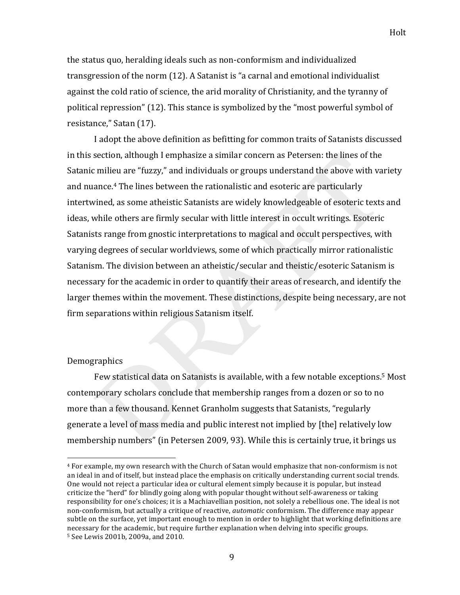the status quo, heralding ideals such as non-conformism and individualized transgression of the norm (12). A Satanist is "a carnal and emotional individualist against the cold ratio of science, the arid morality of Christianity, and the tyranny of political repression" (12). This stance is symbolized by the "most powerful symbol of resistance," Satan (17).

I adopt the above definition as befitting for common traits of Satanists discussed in this section, although I emphasize a similar concern as Petersen: the lines of the Satanic milieu are "fuzzy," and individuals or groups understand the above with variety and nuance.<sup>4</sup> The lines between the rationalistic and esoteric are particularly intertwined, as some atheistic Satanists are widely knowledgeable of esoteric texts and ideas, while others are firmly secular with little interest in occult writings. Esoteric Satanists range from gnostic interpretations to magical and occult perspectives, with varying degrees of secular worldviews, some of which practically mirror rationalistic Satanism. The division between an atheistic/secular and theistic/esoteric Satanism is necessary for the academic in order to quantify their areas of research, and identify the larger themes within the movement. These distinctions, despite being necessary, are not firm separations within religious Satanism itself.

#### Demographics

Few statistical data on Satanists is available, with a few notable exceptions.<sup>5</sup> Most contemporary scholars conclude that membership ranges from a dozen or so to no more than a few thousand. Kennet Granholm suggests that Satanists, "regularly generate a level of mass media and public interest not implied by [the] relatively low membership numbers" (in Petersen 2009, 93). While this is certainly true, it brings us

<sup>&</sup>lt;sup>4</sup> For example, my own research with the Church of Satan would emphasize that non-conformism is not an ideal in and of itself, but instead place the emphasis on critically understanding current social trends. One would not reject a particular idea or cultural element simply because it is popular, but instead criticize the "herd" for blindly going along with popular thought without self-awareness or taking responsibility for one's choices; it is a Machiavellian position, not solely a rebellious one. The ideal is not non-conformism, but actually a critique of reactive, *qutomatic* conformism. The difference may appear subtle on the surface, yet important enough to mention in order to highlight that working definitions are necessary for the academic, but require further explanation when delying into specific groups. <sup>5</sup> See Lewis 2001b, 2009a, and 2010.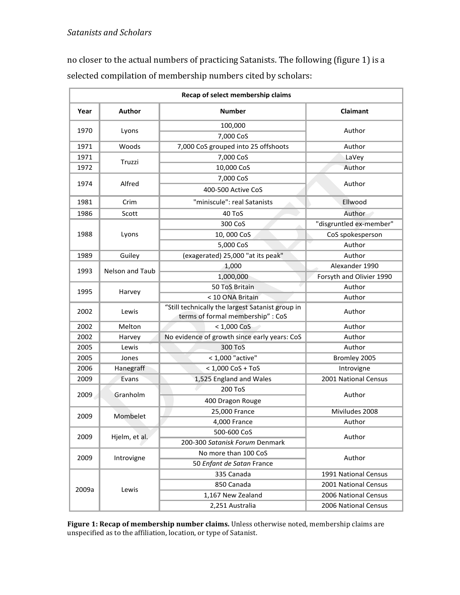no closer to the actual numbers of practicing Satanists. The following (figure 1) is a selected compilation of membership numbers cited by scholars:

| Recap of select membership claims |                        |                                                                                       |                          |
|-----------------------------------|------------------------|---------------------------------------------------------------------------------------|--------------------------|
| Year                              | Author                 | <b>Number</b>                                                                         | <b>Claimant</b>          |
| 1970                              | Lyons                  | 100,000                                                                               | Author                   |
|                                   |                        | 7,000 CoS                                                                             |                          |
| 1971                              | Woods                  | 7,000 CoS grouped into 25 offshoots                                                   | Author                   |
| 1971                              | Truzzi                 | 7,000 CoS                                                                             | LaVey                    |
| 1972                              |                        | 10,000 CoS                                                                            | Author                   |
| 1974                              | Alfred                 | 7,000 CoS                                                                             | Author                   |
|                                   |                        | 400-500 Active CoS                                                                    |                          |
| 1981                              | Crim                   | "miniscule": real Satanists                                                           | Ellwood                  |
| 1986                              | Scott                  | 40 ToS                                                                                | Author                   |
| 1988                              | Lyons                  | 300 CoS                                                                               | "disgruntled ex-member"  |
|                                   |                        | 10,000 CoS                                                                            | CoS spokesperson         |
|                                   |                        | 5,000 CoS                                                                             | Author                   |
| 1989                              | Guiley                 | (exagerated) 25,000 "at its peak"                                                     | Author                   |
| 1993                              | <b>Nelson and Taub</b> | 1,000                                                                                 | Alexander 1990           |
|                                   |                        | 1,000,000                                                                             | Forsyth and Olivier 1990 |
| 1995                              | Harvey                 | 50 ToS Britain                                                                        | Author                   |
|                                   |                        | < 10 ONA Britain                                                                      | Author                   |
| 2002                              | Lewis                  | "Still technically the largest Satanist group in<br>terms of formal membership" : CoS | Author                   |
| 2002                              | Melton                 | $< 1,000$ CoS                                                                         | Author                   |
| 2002                              | Harvey                 | No evidence of growth since early years: CoS                                          | Author                   |
| 2005                              | Lewis                  | 300 ToS                                                                               | Author                   |
| 2005                              | Jones                  | < 1,000 "active"                                                                      | Bromley 2005             |
| 2006                              | Hanegraff              | $< 1,000$ CoS + ToS                                                                   | Introvigne               |
| 2009                              | Evans                  | 1,525 England and Wales                                                               | 2001 National Census     |
| 2009                              | Granholm               | 200 ToS                                                                               | Author                   |
|                                   |                        | 400 Dragon Rouge                                                                      |                          |
| 2009                              | Mombelet               | 25,000 France                                                                         | Miviludes 2008           |
|                                   |                        | 4,000 France                                                                          | Author                   |
| 2009                              | Hjelm, et al.          | 500-600 CoS                                                                           | Author                   |
|                                   |                        | 200-300 Satanisk Forum Denmark                                                        |                          |
| 2009                              | Introvigne             | No more than 100 CoS                                                                  | Author                   |
|                                   |                        | 50 Enfant de Satan France                                                             |                          |
| 2009a                             | Lewis                  | 335 Canada                                                                            | 1991 National Census     |
|                                   |                        | 850 Canada                                                                            | 2001 National Census     |
|                                   |                        | 1,167 New Zealand                                                                     | 2006 National Census     |
|                                   |                        | 2,251 Australia                                                                       | 2006 National Census     |

Figure 1: Recap of membership number claims. Unless otherwise noted, membership claims are unspecified as to the affiliation, location, or type of Satanist.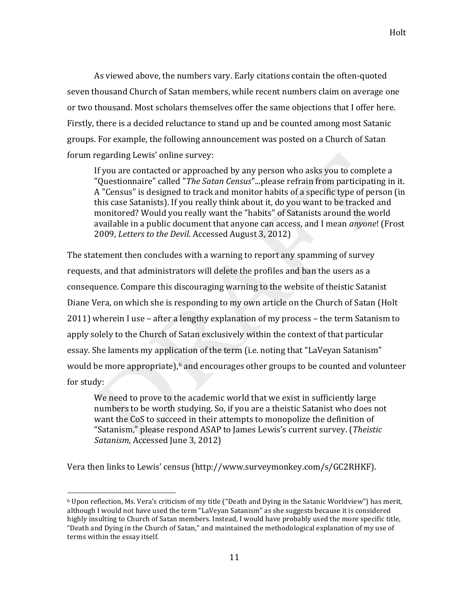As viewed above, the numbers vary. Early citations contain the often-quoted seven thousand Church of Satan members, while recent numbers claim on average one or two thousand. Most scholars themselves offer the same objections that I offer here. Firstly, there is a decided reluctance to stand up and be counted among most Satanic groups. For example, the following announcement was posted on a Church of Satan forum regarding Lewis' online survey:

If you are contacted or approached by any person who asks you to complete a "Questionnaire" called "The Satan Census"...please refrain from participating in it. A "Census" is designed to track and monitor habits of a specific type of person (in this case Satanists). If you really think about it, do you want to be tracked and monitored? Would you really want the "habits" of Satanists around the world available in a public document that anyone can access, and I mean *anyone*! (Frost 2009, *Letters to the Devil.* Accessed August 3, 2012)

The statement then concludes with a warning to report any spamming of survey requests, and that administrators will delete the profiles and ban the users as a consequence. Compare this discouraging warning to the website of theistic Satanist Diane Vera, on which she is responding to my own article on the Church of Satan (Holt 2011) wherein I use – after a lengthy explanation of my process – the term Satanism to apply solely to the Church of Satan exclusively within the context of that particular essay. She laments my application of the term (i.e. noting that "LaVeyan Satanism" would be more appropriate), $6$  and encourages other groups to be counted and volunteer for study:

We need to prove to the academic world that we exist in sufficiently large numbers to be worth studying. So, if you are a theistic Satanist who does not want the CoS to succeed in their attempts to monopolize the definition of "Satanism," please respond ASAP to James Lewis's current survey. (Theistic *Satanism, Accessed June 3, 2012)* 

Vera then links to Lewis' census (http://www.surveymonkey.com/s/GC2RHKF).

!!!!!!!!!!!!!!!!!!!!!!!!!!!!!!!!!!!!!!!!!!!!!!!!!!!!!!!

 $6$  Upon reflection, Ms. Vera's criticism of my title ("Death and Dying in the Satanic Worldview") has merit, although I would not have used the term "LaVeyan Satanism" as she suggests because it is considered highly insulting to Church of Satan members. Instead, I would have probably used the more specific title, "Death and Dying in the Church of Satan," and maintained the methodological explanation of my use of terms within the essay itself.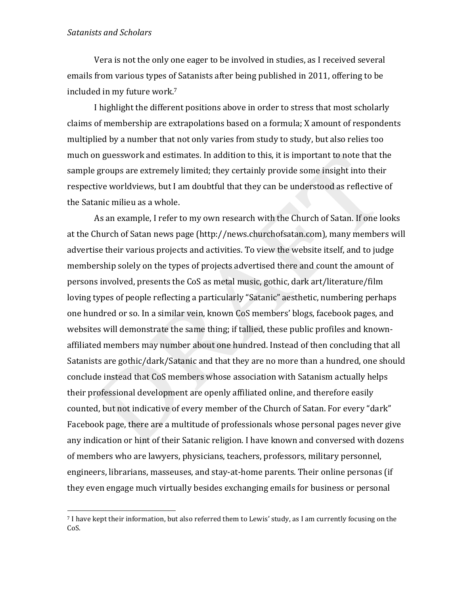!!!!!!!!!!!!!!!!!!!!!!!!!!!!!!!!!!!!!!!!!!!!!!!!!!!!!!!

Vera is not the only one eager to be involved in studies, as I received several emails from various types of Satanists after being published in 2011, offering to be included in my future work.<sup>7</sup>

I highlight the different positions above in order to stress that most scholarly claims of membership are extrapolations based on a formula; X amount of respondents multiplied by a number that not only varies from study to study, but also relies too much on guesswork and estimates. In addition to this, it is important to note that the sample groups are extremely limited; they certainly provide some insight into their respective worldviews, but I am doubtful that they can be understood as reflective of the Satanic milieu as a whole.

As an example, I refer to my own research with the Church of Satan. If one looks at the Church of Satan news page (http://news.churchofsatan.com), many members will advertise their various projects and activities. To view the website itself, and to judge membership solely on the types of projects advertised there and count the amount of persons involved, presents the CoS as metal music, gothic, dark art/literature/film loving types of people reflecting a particularly "Satanic" aesthetic, numbering perhaps one hundred or so. In a similar vein, known CoS members' blogs, facebook pages, and websites will demonstrate the same thing; if tallied, these public profiles and knownaffiliated members may number about one hundred. Instead of then concluding that all Satanists are gothic/dark/Satanic and that they are no more than a hundred, one should conclude instead that CoS members whose association with Satanism actually helps their professional development are openly affiliated online, and therefore easily counted, but not indicative of every member of the Church of Satan. For every "dark" Facebook page, there are a multitude of professionals whose personal pages never give any indication or hint of their Satanic religion. I have known and conversed with dozens of members who are lawyers, physicians, teachers, professors, military personnel, engineers, librarians, masseuses, and stay-at-home parents. Their online personas (if they even engage much virtually besides exchanging emails for business or personal

<sup>&</sup>lt;sup>7</sup> I have kept their information, but also referred them to Lewis' study, as I am currently focusing on the Co<sub>S</sub>.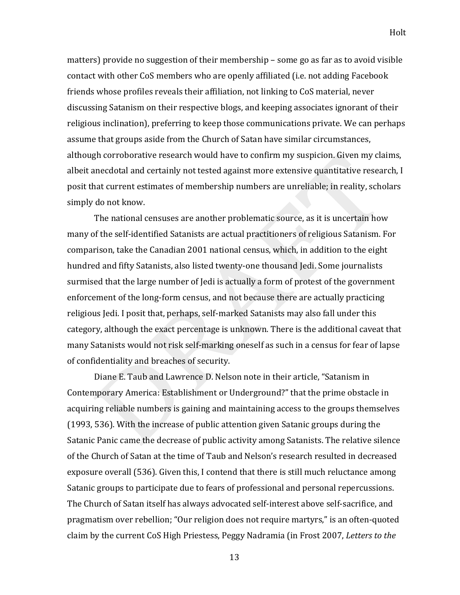matters) provide no suggestion of their membership – some go as far as to avoid visible contact with other CoS members who are openly affiliated (i.e. not adding Facebook friends whose profiles reveals their affiliation, not linking to CoS material, never discussing Satanism on their respective blogs, and keeping associates ignorant of their religious inclination), preferring to keep those communications private. We can perhaps assume that groups aside from the Church of Satan have similar circumstances, although corroborative research would have to confirm my suspicion. Given my claims, albeit anecdotal and certainly not tested against more extensive quantitative research, I posit that current estimates of membership numbers are unreliable; in reality, scholars simply do not know.

The national censuses are another problematic source, as it is uncertain how many of the self-identified Satanists are actual practitioners of religious Satanism. For comparison, take the Canadian 2001 national census, which, in addition to the eight hundred and fifty Satanists, also listed twenty-one thousand Jedi. Some journalists surmised that the large number of Jedi is actually a form of protest of the government enforcement of the long-form census, and not because there are actually practicing religious Jedi. I posit that, perhaps, self-marked Satanists may also fall under this category, although the exact percentage is unknown. There is the additional caveat that many Satanists would not risk self-marking oneself as such in a census for fear of lapse of confidentiality and breaches of security.

Diane E. Taub and Lawrence D. Nelson note in their article, "Satanism in Contemporary America: Establishment or Underground?" that the prime obstacle in acquiring reliable numbers is gaining and maintaining access to the groups themselves (1993, 536). With the increase of public attention given Satanic groups during the Satanic Panic came the decrease of public activity among Satanists. The relative silence of the Church of Satan at the time of Taub and Nelson's research resulted in decreased exposure overall (536). Given this, I contend that there is still much reluctance among Satanic groups to participate due to fears of professional and personal repercussions. The Church of Satan itself has always advocated self-interest above self-sacrifice, and pragmatism over rebellion; "Our religion does not require martyrs," is an often-quoted claim by the current CoS High Priestess, Peggy Nadramia (in Frost 2007, *Letters to the*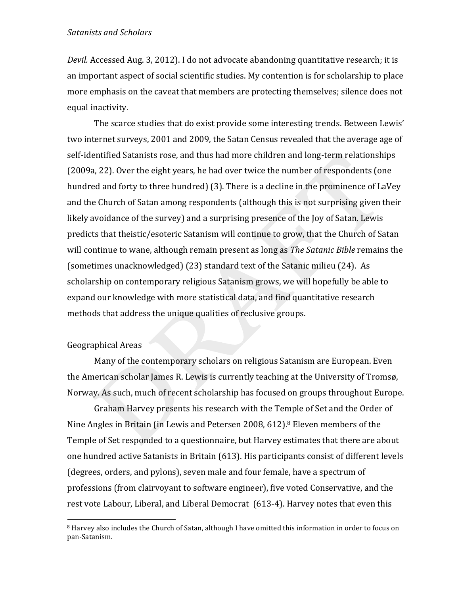Devil. Accessed Aug. 3, 2012). I do not advocate abandoning quantitative research; it is an important aspect of social scientific studies. My contention is for scholarship to place more emphasis on the caveat that members are protecting themselves; silence does not equal inactivity.

The scarce studies that do exist provide some interesting trends. Between Lewis' two internet surveys, 2001 and 2009, the Satan Census revealed that the average age of self-identified Satanists rose, and thus had more children and long-term relationships (2009a, 22). Over the eight years, he had over twice the number of respondents (one hundred and forty to three hundred) (3). There is a decline in the prominence of LaVey and the Church of Satan among respondents (although this is not surprising given their likely avoidance of the survey) and a surprising presence of the Joy of Satan. Lewis predicts that theistic/esoteric Satanism will continue to grow, that the Church of Satan will continue to wane, although remain present as long as The Satanic Bible remains the (sometimes unacknowledged) (23) standard text of the Satanic milieu (24). As scholarship on contemporary religious Satanism grows, we will hopefully be able to expand our knowledge with more statistical data, and find quantitative research methods that address the unique qualities of reclusive groups.

# **Geographical Areas**

Many of the contemporary scholars on religious Satanism are European. Even the American scholar James R. Lewis is currently teaching at the University of Tromsø, Norway. As such, much of recent scholarship has focused on groups throughout Europe.

Graham Harvey presents his research with the Temple of Set and the Order of Nine Angles in Britain (in Lewis and Petersen 2008, 612).<sup>8</sup> Eleven members of the Temple of Set responded to a questionnaire, but Harvey estimates that there are about one hundred active Satanists in Britain (613). His participants consist of different levels (degrees, orders, and pylons), seven male and four female, have a spectrum of professions (from clairvoyant to software engineer), five voted Conservative, and the rest vote Labour, Liberal, and Liberal Democrat (613-4). Harvey notes that even this

<sup>&</sup>lt;sup>8</sup> Harvey also includes the Church of Satan, although I have omitted this information in order to focus on pan-Satanism.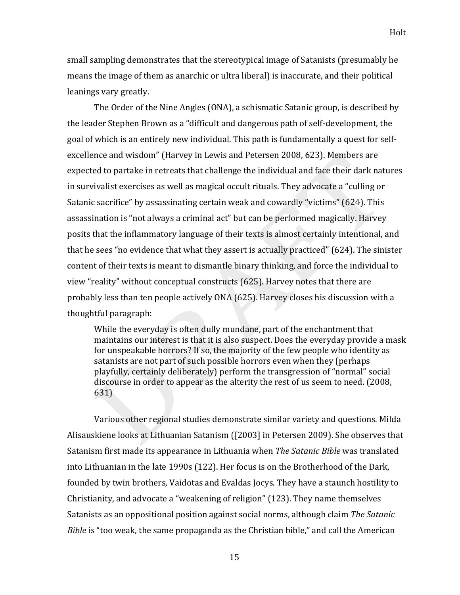small sampling demonstrates that the stereotypical image of Satanists (presumably he means the image of them as anarchic or ultra liberal) is inaccurate, and their political leanings vary greatly.

The Order of the Nine Angles (ONA), a schismatic Satanic group, is described by the leader Stephen Brown as a "difficult and dangerous path of self-development, the goal of which is an entirely new individual. This path is fundamentally a quest for selfexcellence and wisdom" (Harvey in Lewis and Petersen 2008, 623). Members are expected to partake in retreats that challenge the individual and face their dark natures in survivalist exercises as well as magical occult rituals. They advocate a "culling or Satanic sacrifice" by assassinating certain weak and cowardly "victims" (624). This assassination is "not always a criminal act" but can be performed magically. Harvey posits that the inflammatory language of their texts is almost certainly intentional, and that he sees "no evidence that what they assert is actually practiced"  $(624)$ . The sinister content of their texts is meant to dismantle binary thinking, and force the individual to view "reality" without conceptual constructs (625). Harvey notes that there are probably less than ten people actively ONA (625). Harvey closes his discussion with a thoughtful paragraph:

While the everyday is often dully mundane, part of the enchantment that maintains our interest is that it is also suspect. Does the everyday provide a mask for unspeakable horrors? If so, the majority of the few people who identity as satanists are not part of such possible horrors even when they (perhaps playfully, certainly deliberately) perform the transgression of "normal" social discourse in order to appear as the alterity the rest of us seem to need. (2008, 631)

Various other regional studies demonstrate similar variety and questions. Milda Alisauskiene looks at Lithuanian Satanism ([2003] in Petersen 2009). She observes that Satanism first made its appearance in Lithuania when *The Satanic Bible* was translated into Lithuanian in the late 1990s (122). Her focus is on the Brotherhood of the Dark, founded by twin brothers, Vaidotas and Evaldas Jocys. They have a staunch hostility to Christianity, and advocate a "weakening of religion" (123). They name themselves Satanists as an oppositional position against social norms, although claim The Satanic *Bible* is "too weak, the same propaganda as the Christian bible," and call the American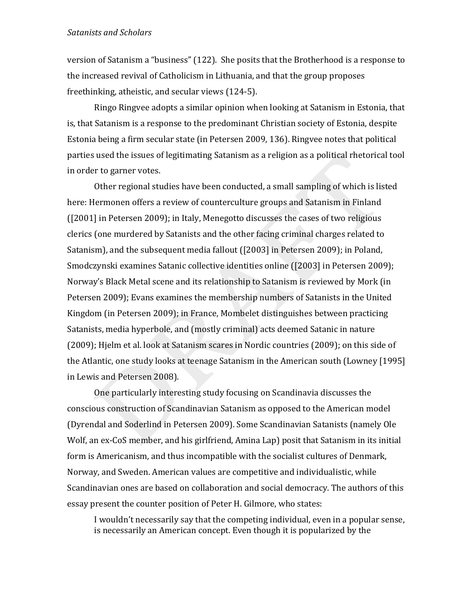version of Satanism a "business" (122). She posits that the Brotherhood is a response to the increased revival of Catholicism in Lithuania, and that the group proposes freethinking, atheistic, and secular views (124-5).

Ringo Ringvee adopts a similar opinion when looking at Satanism in Estonia, that is, that Satanism is a response to the predominant Christian society of Estonia, despite Estonia being a firm secular state (in Petersen 2009, 136). Ringvee notes that political parties used the issues of legitimating Satanism as a religion as a political rhetorical tool in order to garner votes.

Other regional studies have been conducted, a small sampling of which is listed here: Hermonen offers a review of counterculture groups and Satanism in Finland  $(2001]$  in Petersen 2009); in Italy, Menegotto discusses the cases of two religious clerics (one murdered by Satanists and the other facing criminal charges related to Satanism), and the subsequent media fallout ([2003] in Petersen 2009); in Poland, Smodczynski examines Satanic collective identities online ([2003] in Petersen 2009); Norway's Black Metal scene and its relationship to Satanism is reviewed by Mork (in Petersen 2009); Evans examines the membership numbers of Satanists in the United Kingdom (in Petersen 2009); in France, Mombelet distinguishes between practicing Satanists, media hyperbole, and (mostly criminal) acts deemed Satanic in nature (2009); Hjelm et al. look at Satanism scares in Nordic countries (2009); on this side of the Atlantic, one study looks at teenage Satanism in the American south (Lowney [1995] in Lewis and Petersen 2008).

One particularly interesting study focusing on Scandinavia discusses the conscious construction of Scandinavian Satanism as opposed to the American model (Dyrendal and Soderlind in Petersen 2009). Some Scandinavian Satanists (namely Ole Wolf, an ex-CoS member, and his girlfriend, Amina Lap) posit that Satanism in its initial form is Americanism, and thus incompatible with the socialist cultures of Denmark, Norway, and Sweden. American values are competitive and individualistic, while Scandinavian ones are based on collaboration and social democracy. The authors of this essay present the counter position of Peter H. Gilmore, who states:

I wouldn't necessarily say that the competing individual, even in a popular sense, is necessarily an American concept. Even though it is popularized by the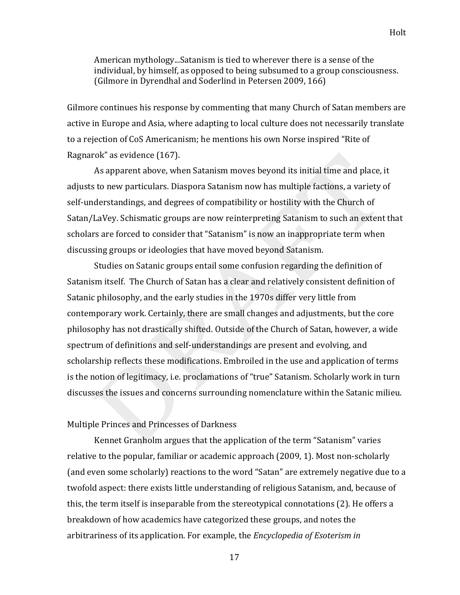American mythology...Satanism is tied to wherever there is a sense of the individual, by himself, as opposed to being subsumed to a group consciousness. (Gilmore in Dyrendhal and Soderlind in Petersen 2009, 166)

Gilmore continues his response by commenting that many Church of Satan members are active in Europe and Asia, where adapting to local culture does not necessarily translate to a rejection of CoS Americanism; he mentions his own Norse inspired "Rite of Ragnarok" as evidence (167).

As apparent above, when Satanism moves beyond its initial time and place, it adjusts to new particulars. Diaspora Satanism now has multiple factions, a variety of self-understandings, and degrees of compatibility or hostility with the Church of Satan/LaVey. Schismatic groups are now reinterpreting Satanism to such an extent that scholars are forced to consider that "Satanism" is now an inappropriate term when discussing groups or ideologies that have moved beyond Satanism.

Studies on Satanic groups entail some confusion regarding the definition of Satanism itself. The Church of Satan has a clear and relatively consistent definition of Satanic philosophy, and the early studies in the 1970s differ very little from contemporary work. Certainly, there are small changes and adjustments, but the core philosophy has not drastically shifted. Outside of the Church of Satan, however, a wide spectrum of definitions and self-understandings are present and evolving, and scholarship reflects these modifications. Embroiled in the use and application of terms is the notion of legitimacy, i.e. proclamations of "true" Satanism. Scholarly work in turn discusses the issues and concerns surrounding nomenclature within the Satanic milieu.

#### Multiple Princes and Princesses of Darkness

Kennet Granholm argues that the application of the term "Satanism" varies relative to the popular, familiar or academic approach (2009, 1). Most non-scholarly (and even some scholarly) reactions to the word "Satan" are extremely negative due to a twofold aspect: there exists little understanding of religious Satanism, and, because of this, the term itself is inseparable from the stereotypical connotations (2). He offers a breakdown of how academics have categorized these groups, and notes the arbitrariness of its application. For example, the *Encyclopedia of Esoterism in*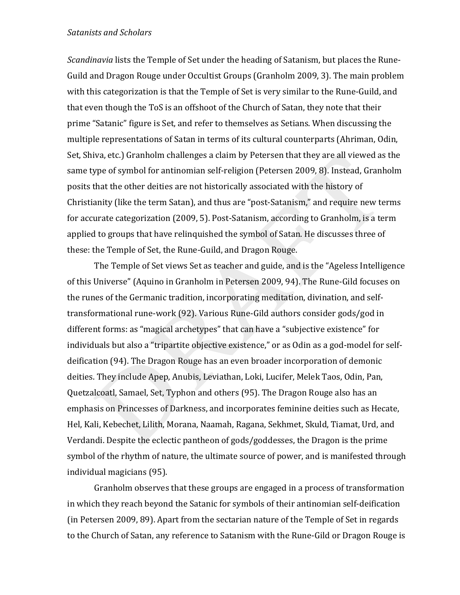*Scandinavia* lists the Temple of Set under the heading of Satanism, but places the Rune-Guild and Dragon Rouge under Occultist Groups (Granholm 2009, 3). The main problem with this categorization is that the Temple of Set is very similar to the Rune-Guild, and that even though the ToS is an offshoot of the Church of Satan, they note that their prime "Satanic" figure is Set, and refer to themselves as Setians. When discussing the multiple representations of Satan in terms of its cultural counterparts (Ahriman, Odin, Set, Shiva, etc.) Granholm challenges a claim by Petersen that they are all viewed as the same type of symbol for antinomian self-religion (Petersen 2009, 8). Instead, Granholm posits that the other deities are not historically associated with the history of Christianity (like the term Satan), and thus are "post-Satanism," and require new terms for accurate categorization (2009, 5). Post-Satanism, according to Granholm, is a term applied to groups that have relinquished the symbol of Satan. He discusses three of these: the Temple of Set, the Rune-Guild, and Dragon Rouge.

The Temple of Set views Set as teacher and guide, and is the "Ageless Intelligence" of this Universe" (Aquino in Granholm in Petersen 2009, 94). The Rune-Gild focuses on the runes of the Germanic tradition, incorporating meditation, divination, and selftransformational rune-work (92). Various Rune-Gild authors consider gods/god in different forms: as "magical archetypes" that can have a "subjective existence" for individuals but also a "tripartite objective existence," or as Odin as a god-model for selfdeification (94). The Dragon Rouge has an even broader incorporation of demonic deities. They include Apep, Anubis, Leviathan, Loki, Lucifer, Melek Taos, Odin, Pan, Quetzalcoatl, Samael, Set, Typhon and others (95). The Dragon Rouge also has an emphasis on Princesses of Darkness, and incorporates feminine deities such as Hecate, Hel, Kali, Kebechet, Lilith, Morana, Naamah, Ragana, Sekhmet, Skuld, Tiamat, Urd, and Verdandi. Despite the eclectic pantheon of gods/goddesses, the Dragon is the prime symbol of the rhythm of nature, the ultimate source of power, and is manifested through individual magicians (95).

Granholm observes that these groups are engaged in a process of transformation in which they reach beyond the Satanic for symbols of their antinomian self-deification (in Petersen 2009, 89). Apart from the sectarian nature of the Temple of Set in regards to the Church of Satan, any reference to Satanism with the Rune-Gild or Dragon Rouge is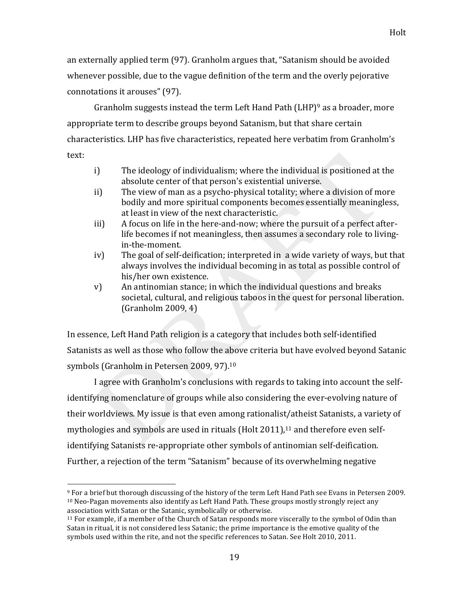an externally applied term (97). Granholm argues that, "Satanism should be avoided whenever possible, due to the vague definition of the term and the overly pejorative connotations it arouses" (97).

Granholm suggests instead the term Left Hand Path (LHP)<sup>9</sup> as a broader, more appropriate term to describe groups beyond Satanism, but that share certain characteristics. LHP has five characteristics, repeated here verbatim from Granholm's text:

- The ideology of individualism; where the individual is positioned at the  $i$ absolute center of that person's existential universe.
- The view of man as a psycho-physical totality: where a division of more  $ii)$ bodily and more spiritual components becomes essentially meaningless, at least in view of the next characteristic.
- A focus on life in the here-and-now; where the pursuit of a perfect after $iii)$ life becomes if not meaningless, then assumes a secondary role to livingin-the-moment.
- The goal of self-deification; interpreted in a wide variety of ways, but that  $iv)$ always involves the individual becoming in as total as possible control of his/her own existence.
- An antinomian stance; in which the individual questions and breaks  $V)$ societal, cultural, and religious taboos in the quest for personal liberation.  $(Grapholm 2009, 4)$

In essence, Left Hand Path religion is a category that includes both self-identified Satanists as well as those who follow the above criteria but have evolved beyond Satanic symbols (Granholm in Petersen 2009, 97).<sup>10</sup>

I agree with Granholm's conclusions with regards to taking into account the selfidentifying nomenclature of groups while also considering the ever-evolving nature of their worldviews. My issue is that even among rationalist/atheist Satanists, a variety of mythologies and symbols are used in rituals (Holt 2011),<sup>11</sup> and therefore even selfidentifying Satanists re-appropriate other symbols of antinomian self-deification. Further, a rejection of the term "Satanism" because of its overwhelming negative

<sup>9</sup> For a brief but thorough discussing of the history of the term Left Hand Path see Evans in Petersen 2009. <sup>10</sup> Neo-Pagan movements also identify as Left Hand Path. These groups mostly strongly reject any association with Satan or the Satanic, symbolically or otherwise.

 $11$  For example, if a member of the Church of Satan responds more viscerally to the symbol of Odin than Satan in ritual, it is not considered less Satanic; the prime importance is the emotive quality of the symbols used within the rite, and not the specific references to Satan. See Holt 2010, 2011.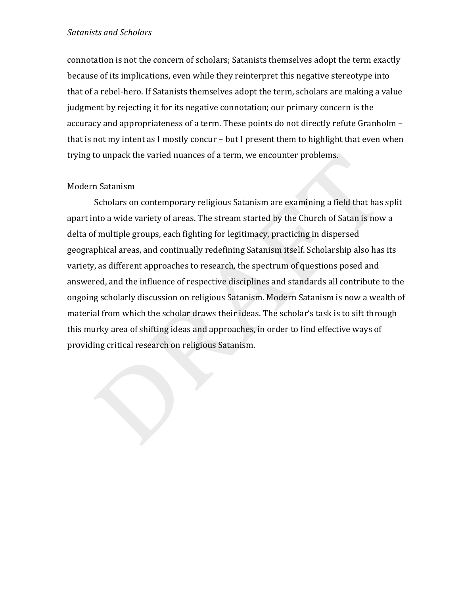connotation is not the concern of scholars; Satanists themselves adopt the term exactly because of its implications, even while they reinterpret this negative stereotype into that of a rebel-hero. If Satanists themselves adopt the term, scholars are making a value judgment by rejecting it for its negative connotation; our primary concern is the accuracy and appropriateness of a term. These points do not directly refute Granholm – that is not my intent as I mostly concur – but I present them to highlight that even when trying to unpack the varied nuances of a term, we encounter problems.

# Modern Satanism

Scholars on contemporary religious Satanism are examining a field that has split apart into a wide variety of areas. The stream started by the Church of Satan is now a delta of multiple groups, each fighting for legitimacy, practicing in dispersed geographical areas, and continually redefining Satanism itself. Scholarship also has its variety, as different approaches to research, the spectrum of questions posed and answered, and the influence of respective disciplines and standards all contribute to the ongoing scholarly discussion on religious Satanism. Modern Satanism is now a wealth of material from which the scholar draws their ideas. The scholar's task is to sift through this murky area of shifting ideas and approaches, in order to find effective ways of providing critical research on religious Satanism.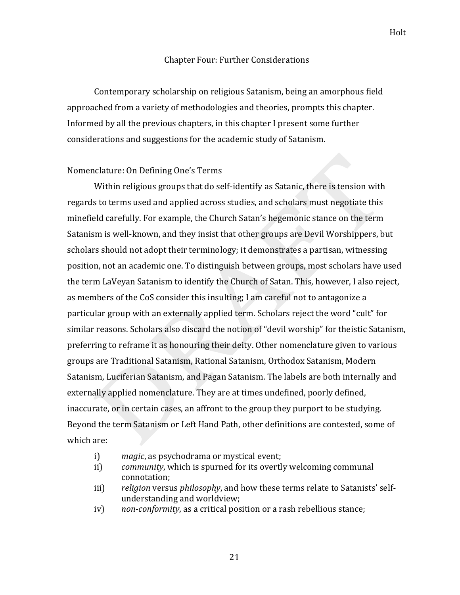#### Chapter Four: Further Considerations

Contemporary scholarship on religious Satanism, being an amorphous field approached from a variety of methodologies and theories, prompts this chapter. Informed by all the previous chapters, in this chapter I present some further considerations and suggestions for the academic study of Satanism.

#### Nomenclature: On Defining One's Terms

Within religious groups that do self-identify as Satanic, there is tension with regards to terms used and applied across studies, and scholars must negotiate this minefield carefully. For example, the Church Satan's hegemonic stance on the term Satanism is well-known, and they insist that other groups are Devil Worshippers, but scholars should not adopt their terminology; it demonstrates a partisan, witnessing position, not an academic one. To distinguish between groups, most scholars have used the term LaVeyan Satanism to identify the Church of Satan. This, however, I also reject, as members of the CoS consider this insulting; I am careful not to antagonize a particular group with an externally applied term. Scholars reject the word "cult" for similar reasons. Scholars also discard the notion of "devil worship" for theistic Satanism, preferring to reframe it as honouring their deity. Other nomenclature given to various groups are Traditional Satanism, Rational Satanism, Orthodox Satanism, Modern Satanism, Luciferian Satanism, and Pagan Satanism. The labels are both internally and externally applied nomenclature. They are at times undefined, poorly defined, inaccurate, or in certain cases, an affront to the group they purport to be studying. Beyond the term Satanism or Left Hand Path, other definitions are contested, some of which are:

- i) *magic*, as psychodrama or mystical event;
- ii) *community*, which is spurned for its overtly welcoming communal connotation:
- iii) *religion* versus *philosophy*, and how these terms relate to Satanists' selfunderstanding and worldview;
- iv) *non-conformity*, as a critical position or a rash rebellious stance;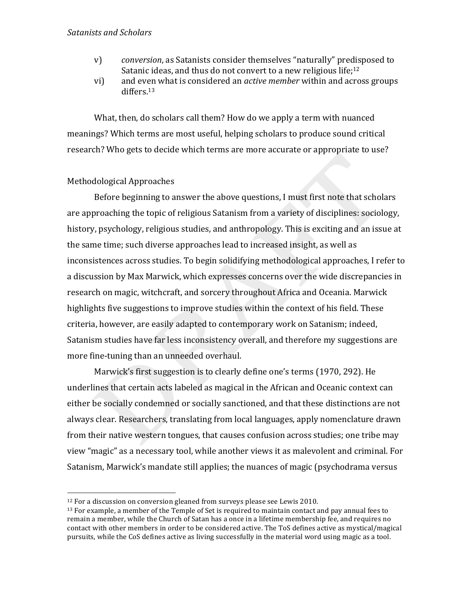- v) *conversion*, as Satanists consider themselves "naturally" predisposed to Satanic ideas, and thus do not convert to a new religious life; $12$
- vi) and even what is considered an *active member* within and across groups differs.13

What, then, do scholars call them? How do we apply a term with nuanced meanings? Which terms are most useful, helping scholars to produce sound critical research? Who gets to decide which terms are more accurate or appropriate to use?

# Methodological Approaches

!!!!!!!!!!!!!!!!!!!!!!!!!!!!!!!!!!!!!!!!!!!!!!!!!!!!!!!

Before beginning to answer the above questions, I must first note that scholars are approaching the topic of religious Satanism from a variety of disciplines: sociology, history, psychology, religious studies, and anthropology. This is exciting and an issue at the same time; such diverse approaches lead to increased insight, as well as inconsistences across studies. To begin solidifying methodological approaches, I refer to a discussion by Max Marwick, which expresses concerns over the wide discrepancies in research on magic, witchcraft, and sorcery throughout Africa and Oceania. Marwick highlights five suggestions to improve studies within the context of his field. These criteria, however, are easily adapted to contemporary work on Satanism; indeed, Satanism studies have far less inconsistency overall, and therefore my suggestions are more fine-tuning than an unneeded overhaul.

Marwick's first suggestion is to clearly define one's terms (1970, 292). He underlines that certain acts labeled as magical in the African and Oceanic context can either be socially condemned or socially sanctioned, and that these distinctions are not always clear. Researchers, translating from local languages, apply nomenclature drawn from their native western tongues, that causes confusion across studies; one tribe may view "magic" as a necessary tool, while another views it as malevolent and criminal. For Satanism, Marwick's mandate still applies; the nuances of magic (psychodrama versus

 $12$  For a discussion on conversion gleaned from surveys please see Lewis 2010.

 $13$  For example, a member of the Temple of Set is required to maintain contact and pay annual fees to remain a member, while the Church of Satan has a once in a lifetime membership fee, and requires no contact with other members in order to be considered active. The ToS defines active as mystical/magical pursuits, while the CoS defines active as living successfully in the material word using magic as a tool.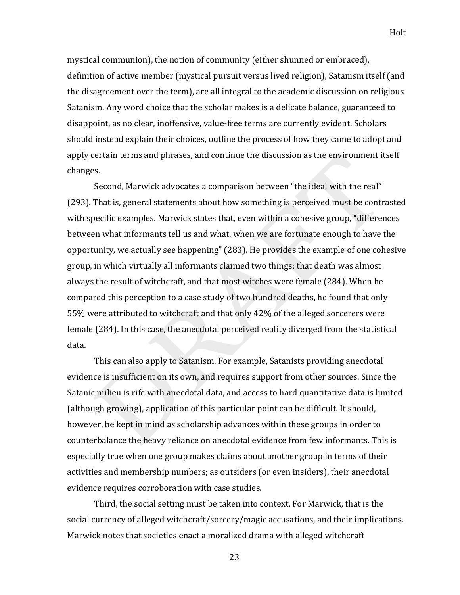mystical communion), the notion of community (either shunned or embraced), definition of active member (mystical pursuit versus lived religion), Satanism itself (and the disagreement over the term), are all integral to the academic discussion on religious Satanism. Any word choice that the scholar makes is a delicate balance, guaranteed to disappoint, as no clear, inoffensive, value-free terms are currently evident. Scholars should instead explain their choices, outline the process of how they came to adopt and apply certain terms and phrases, and continue the discussion as the environment itself changes.

Second, Marwick advocates a comparison between "the ideal with the real" (293). That is, general statements about how something is perceived must be contrasted with specific examples. Marwick states that, even within a cohesive group, "differences" between what informants tell us and what, when we are fortunate enough to have the opportunity, we actually see happening" (283). He provides the example of one cohesive group, in which virtually all informants claimed two things; that death was almost always the result of witchcraft, and that most witches were female (284). When he compared this perception to a case study of two hundred deaths, he found that only 55% were attributed to witchcraft and that only 42% of the alleged sorcerers were female (284). In this case, the anecdotal perceived reality diverged from the statistical data.

This can also apply to Satanism. For example, Satanists providing anecdotal evidence is insufficient on its own, and requires support from other sources. Since the Satanic milieu is rife with anecdotal data, and access to hard quantitative data is limited (although growing), application of this particular point can be difficult. It should, however, be kept in mind as scholarship advances within these groups in order to counterbalance the heavy reliance on anecdotal evidence from few informants. This is especially true when one group makes claims about another group in terms of their activities and membership numbers; as outsiders (or even insiders), their anecdotal evidence requires corroboration with case studies.

Third, the social setting must be taken into context. For Marwick, that is the social currency of alleged witchcraft/sorcery/magic accusations, and their implications. Marwick notes that societies enact a moralized drama with alleged witchcraft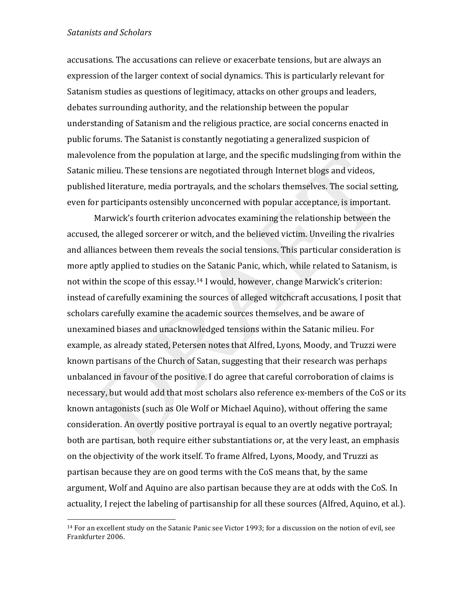!!!!!!!!!!!!!!!!!!!!!!!!!!!!!!!!!!!!!!!!!!!!!!!!!!!!!!!

accusations. The accusations can relieve or exacerbate tensions, but are always an expression of the larger context of social dynamics. This is particularly relevant for Satanism studies as questions of legitimacy, attacks on other groups and leaders, debates surrounding authority, and the relationship between the popular understanding of Satanism and the religious practice, are social concerns enacted in public forums. The Satanist is constantly negotiating a generalized suspicion of malevolence from the population at large, and the specific mudslinging from within the Satanic milieu. These tensions are negotiated through Internet blogs and videos, published literature, media portrayals, and the scholars themselves. The social setting, even for participants ostensibly unconcerned with popular acceptance, is important.

Marwick's fourth criterion advocates examining the relationship between the accused, the alleged sorcerer or witch, and the believed victim. Unveiling the rivalries and alliances between them reveals the social tensions. This particular consideration is more aptly applied to studies on the Satanic Panic, which, while related to Satanism, is not within the scope of this essay.<sup>14</sup> I would, however, change Marwick's criterion: instead of carefully examining the sources of alleged witchcraft accusations, I posit that scholars carefully examine the academic sources themselves, and be aware of unexamined biases and unacknowledged tensions within the Satanic milieu. For example, as already stated, Petersen notes that Alfred, Lyons, Moody, and Truzzi were known partisans of the Church of Satan, suggesting that their research was perhaps unbalanced in favour of the positive. I do agree that careful corroboration of claims is necessary, but would add that most scholars also reference ex-members of the CoS or its known antagonists (such as Ole Wolf or Michael Aquino), without offering the same consideration. An overtly positive portrayal is equal to an overtly negative portrayal; both are partisan, both require either substantiations or, at the very least, an emphasis on the objectivity of the work itself. To frame Alfred, Lyons, Moody, and Truzzi as partisan because they are on good terms with the CoS means that, by the same argument, Wolf and Aquino are also partisan because they are at odds with the CoS. In actuality, I reject the labeling of partisanship for all these sources (Alfred, Aquino, et al.).

<sup>&</sup>lt;sup>14</sup> For an excellent study on the Satanic Panic see Victor 1993; for a discussion on the notion of evil, see Frankfurter 2006.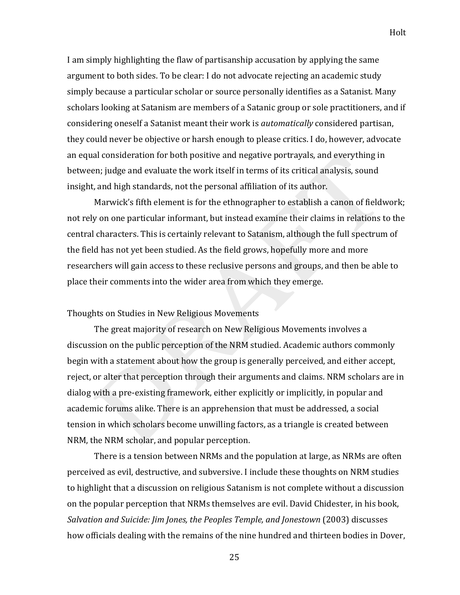I am simply highlighting the flaw of partisanship accusation by applying the same argument to both sides. To be clear: I do not advocate rejecting an academic study simply because a particular scholar or source personally identifies as a Satanist. Many scholars looking at Satanism are members of a Satanic group or sole practitioners, and if considering oneself a Satanist meant their work is *automatically* considered partisan, they could never be objective or harsh enough to please critics. I do, however, advocate an equal consideration for both positive and negative portrayals, and everything in between; judge and evaluate the work itself in terms of its critical analysis, sound insight, and high standards, not the personal affiliation of its author.

Marwick's fifth element is for the ethnographer to establish a canon of fieldwork; not rely on one particular informant, but instead examine their claims in relations to the central characters. This is certainly relevant to Satanism, although the full spectrum of the field has not yet been studied. As the field grows, hopefully more and more researchers will gain access to these reclusive persons and groups, and then be able to place their comments into the wider area from which they emerge.

## Thoughts on Studies in New Religious Movements

The great majority of research on New Religious Movements involves a discussion on the public perception of the NRM studied. Academic authors commonly begin with a statement about how the group is generally perceived, and either accept, reject, or alter that perception through their arguments and claims. NRM scholars are in dialog with a pre-existing framework, either explicitly or implicitly, in popular and academic forums alike. There is an apprehension that must be addressed, a social tension in which scholars become unwilling factors, as a triangle is created between NRM, the NRM scholar, and popular perception.

There is a tension between NRMs and the population at large, as NRMs are often perceived as evil, destructive, and subversive. I include these thoughts on NRM studies to highlight that a discussion on religious Satanism is not complete without a discussion on the popular perception that NRMs themselves are evil. David Chidester, in his book, *Salvation'and'Suicide: Jim'Jones,'the'Peoples'Temple,'and'Jonestown* (2003) discusses! how officials dealing with the remains of the nine hundred and thirteen bodies in Dover,

25

Holt!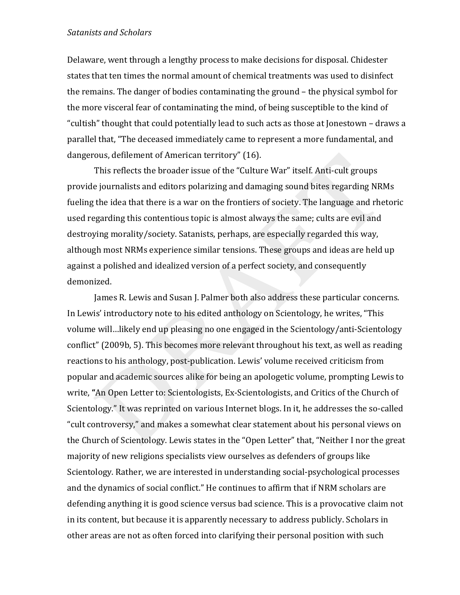Delaware, went through a lengthy process to make decisions for disposal. Chidester states that ten times the normal amount of chemical treatments was used to disinfect the remains. The danger of bodies contaminating the ground – the physical symbol for the more visceral fear of contaminating the mind, of being susceptible to the kind of "cultish" thought that could potentially lead to such acts as those at Jonestown – draws a parallel that, "The deceased immediately came to represent a more fundamental, and dangerous, defilement of American territory" (16).

This reflects the broader issue of the "Culture War" itself. Anti-cult groups provide journalists and editors polarizing and damaging sound bites regarding NRMs fueling the idea that there is a war on the frontiers of society. The language and rhetoric used regarding this contentious topic is almost always the same; cults are evil and destroying morality/society. Satanists, perhaps, are especially regarded this way, although most NRMs experience similar tensions. These groups and ideas are held up against a polished and idealized version of a perfect society, and consequently demonized.

James R. Lewis and Susan J. Palmer both also address these particular concerns. In Lewis' introductory note to his edited anthology on Scientology, he writes, "This volume will...likely end up pleasing no one engaged in the Scientology/anti-Scientology conflict" (2009b, 5). This becomes more relevant throughout his text, as well as reading reactions to his anthology, post-publication. Lewis' volume received criticism from popular and academic sources alike for being an apologetic volume, prompting Lewis to write, "An Open Letter to: Scientologists, Ex-Scientologists, and Critics of the Church of Scientology." It was reprinted on various Internet blogs. In it, he addresses the so-called "cult controversy," and makes a somewhat clear statement about his personal views on the Church of Scientology. Lewis states in the "Open Letter" that, "Neither I nor the great majority of new religions specialists view ourselves as defenders of groups like Scientology. Rather, we are interested in understanding social-psychological processes and the dynamics of social conflict." He continues to affirm that if NRM scholars are defending anything it is good science versus bad science. This is a provocative claim not in its content, but because it is apparently necessary to address publicly. Scholars in other areas are not as often forced into clarifying their personal position with such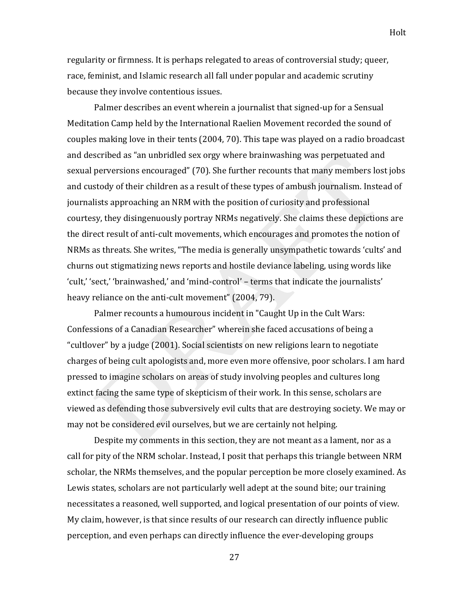Holt!

regularity or firmness. It is perhaps relegated to areas of controversial study; queer, race, feminist, and Islamic research all fall under popular and academic scrutiny because they involve contentious issues.

Palmer describes an event wherein a journalist that signed-up for a Sensual Meditation Camp held by the International Raelien Movement recorded the sound of couples making love in their tents (2004, 70). This tape was played on a radio broadcast and described as "an unbridled sex orgy where brainwashing was perpetuated and sexual perversions encouraged" (70). She further recounts that many members lost jobs and custody of their children as a result of these types of ambush journalism. Instead of journalists approaching an NRM with the position of curiosity and professional courtesy, they disingenuously portray NRMs negatively. She claims these depictions are the direct result of anti-cult movements, which encourages and promotes the notion of NRMs as threats. She writes, "The media is generally unsympathetic towards 'cults' and churns out stigmatizing news reports and hostile deviance labeling, using words like 'cult,' 'sect,' 'brainwashed,' and 'mind-control' – terms that indicate the journalists' heavy reliance on the anti-cult movement" (2004, 79).

Palmer recounts a humourous incident in "Caught Up in the Cult Wars: Confessions of a Canadian Researcher" wherein she faced accusations of being a "cultlover" by a judge (2001). Social scientists on new religions learn to negotiate charges of being cult apologists and, more even more offensive, poor scholars. I am hard pressed to imagine scholars on areas of study involving peoples and cultures long extinct facing the same type of skepticism of their work. In this sense, scholars are viewed as defending those subversively evil cults that are destroying society. We may or may not be considered evil ourselves, but we are certainly not helping.

Despite my comments in this section, they are not meant as a lament, nor as a call for pity of the NRM scholar. Instead, I posit that perhaps this triangle between NRM scholar, the NRMs themselves, and the popular perception be more closely examined. As Lewis states, scholars are not particularly well adept at the sound bite; our training necessitates a reasoned, well supported, and logical presentation of our points of view. My claim, however, is that since results of our research can directly influence public perception, and even perhaps can directly influence the ever-developing groups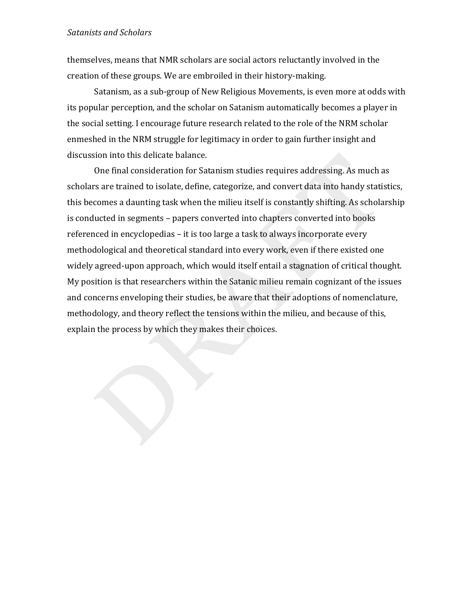themselves, means that NMR scholars are social actors reluctantly involved in the creation of these groups. We are embroiled in their history-making.

Satanism, as a sub-group of New Religious Movements, is even more at odds with its popular perception, and the scholar on Satanism automatically becomes a player in the social setting. I encourage future research related to the role of the NRM scholar enmeshed in the NRM struggle for legitimacy in order to gain further insight and discussion into this delicate balance.

One final consideration for Satanism studies requires addressing. As much as scholars are trained to isolate, define, categorize, and convert data into handy statistics, this becomes a daunting task when the milieu itself is constantly shifting. As scholarship is conducted in segments – papers converted into chapters converted into books referenced in encyclopedias – it is too large a task to always incorporate every methodological and theoretical standard into every work, even if there existed one widely agreed-upon approach, which would itself entail a stagnation of critical thought. My position is that researchers within the Satanic milieu remain cognizant of the issues and concerns enveloping their studies, be aware that their adoptions of nomenclature, methodology, and theory reflect the tensions within the milieu, and because of this, explain the process by which they makes their choices.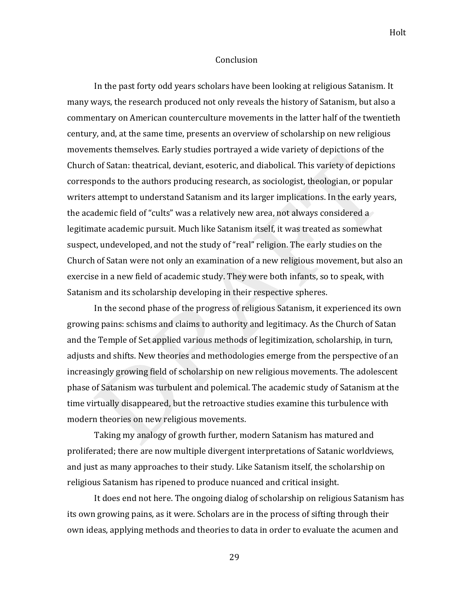#### **Conclusion**

In the past forty odd years scholars have been looking at religious Satanism. It many ways, the research produced not only reveals the history of Satanism, but also a commentary on American counterculture movements in the latter half of the twentieth century, and, at the same time, presents an overview of scholarship on new religious movements themselves. Early studies portrayed a wide variety of depictions of the Church of Satan: theatrical, deviant, esoteric, and diabolical. This variety of depictions corresponds to the authors producing research, as sociologist, theologian, or popular writers attempt to understand Satanism and its larger implications. In the early years, the academic field of "cults" was a relatively new area, not always considered a legitimate academic pursuit. Much like Satanism itself, it was treated as somewhat suspect, undeveloped, and not the study of "real" religion. The early studies on the Church of Satan were not only an examination of a new religious movement, but also an exercise in a new field of academic study. They were both infants, so to speak, with Satanism and its scholarship developing in their respective spheres.

In the second phase of the progress of religious Satanism, it experienced its own growing pains: schisms and claims to authority and legitimacy. As the Church of Satan and the Temple of Set applied various methods of legitimization, scholarship, in turn, adjusts and shifts. New theories and methodologies emerge from the perspective of an increasingly growing field of scholarship on new religious movements. The adolescent phase of Satanism was turbulent and polemical. The academic study of Satanism at the time virtually disappeared, but the retroactive studies examine this turbulence with modern theories on new religious movements.

Taking my analogy of growth further, modern Satanism has matured and proliferated; there are now multiple divergent interpretations of Satanic worldviews, and just as many approaches to their study. Like Satanism itself, the scholarship on religious Satanism has ripened to produce nuanced and critical insight.

It does end not here. The ongoing dialog of scholarship on religious Satanism has its own growing pains, as it were. Scholars are in the process of sifting through their own ideas, applying methods and theories to data in order to evaluate the acumen and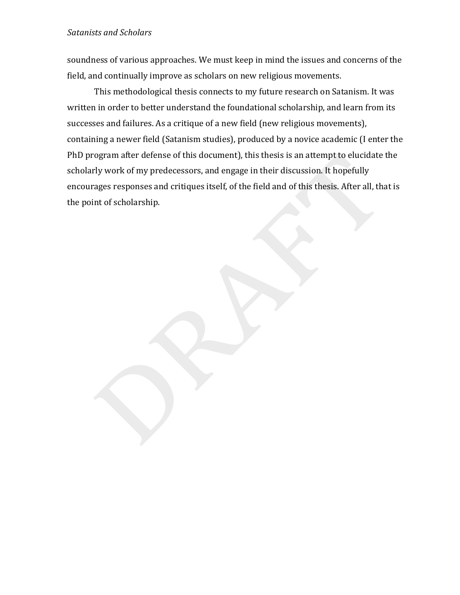soundness of various approaches. We must keep in mind the issues and concerns of the field, and continually improve as scholars on new religious movements.

This methodological thesis connects to my future research on Satanism. It was written in order to better understand the foundational scholarship, and learn from its successes and failures. As a critique of a new field (new religious movements), containing a newer field (Satanism studies), produced by a novice academic (I enter the PhD program after defense of this document), this thesis is an attempt to elucidate the scholarly work of my predecessors, and engage in their discussion. It hopefully encourages responses and critiques itself, of the field and of this thesis. After all, that is the point of scholarship.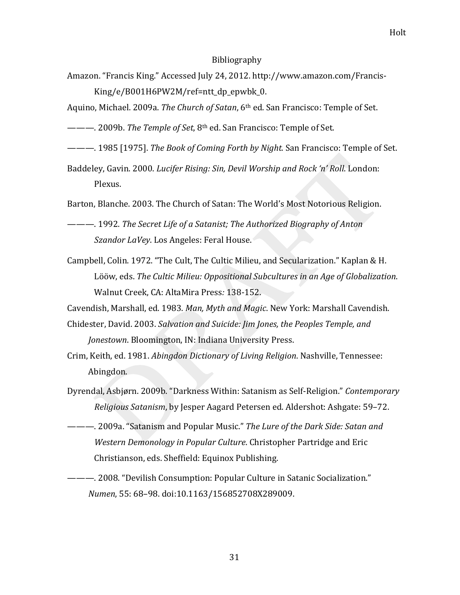#### Bibliography

- Amazon. "Francis King." Accessed July 24, 2012. http://www.amazon.com/Francis-King/e/B001H6PW2M/ref=ntt\_dp\_epwbk\_0.
- Aquino, Michael. 2009a. *The Church of Satan*, 6<sup>th</sup> ed. San Francisco: Temple of Set.
- ———. 2009b. *The Temple of Set*, 8<sup>th</sup> ed. San Francisco: Temple of Set.
- ———. 1985 [1975]. *The Book of Coming Forth by Night.* San Francisco: Temple of Set.
- Baddeley, Gavin. 2000. *Lucifer Rising: Sin, Devil Worship and Rock'n' Roll*. London: Plexus.

Barton, Blanche. 2003. The Church of Satan: The World's Most Notorious Religion.

- ———.!1992.!*The'Secret'Life'of'a'Satanist;'The'Authorized'Biography'of'Anton' Szandor LaVey.* Los Angeles: Feral House.
- Campbell, Colin. 1972. "The Cult, The Cultic Milieu, and Secularization." Kaplan & H. Lööw, eds. The Cultic Milieu: Oppositional Subcultures in an Age of Globalization. Walnut Creek, CA: AltaMira Press: 138-152.

Cavendish, Marshall, ed. 1983. *Man, Myth and Magic*. New York: Marshall Cavendish.

- Chidester,!David.!2003.!*Salvation'and'Suicide: Jim'Jones,'the'Peoples'Temple,'and' Jonestown*. Bloomington, IN: Indiana University Press.
- Crim, Keith, ed. 1981. *Abingdon Dictionary of Living Religion*. Nashville, Tennessee: Abingdon.
- Dyrendal, Asbjørn. 2009b. "Darkness Within: Satanism as Self-Religion." *Contemporary Religious Satanism*, by Jesper Aagard Petersen ed. Aldershot: Ashgate: 59–72.
- ———. 2009a. "Satanism and Popular Music." *The Lure of the Dark Side: Satan and Western Demonology in Popular Culture.* Christopher Partridge and Eric Christianson, eds. Sheffield: Equinox Publishing.
- ———. 2008. "Devilish Consumption: Popular Culture in Satanic Socialization." *Numen*, 55: 68-98. doi:10.1163/156852708X289009.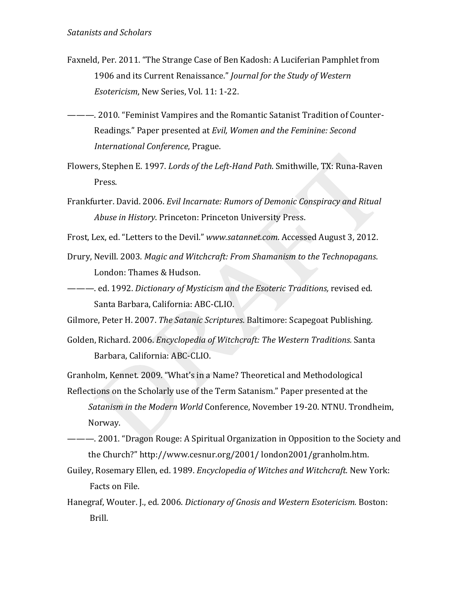- Faxneld, Per. 2011. "The Strange Case of Ben Kadosh: A Luciferian Pamphlet from 1906 and its Current Renaissance." Journal for the Study of Western Esotericism, New Series, Vol. 11: 1-22.
- ---- 2010. "Feminist Vampires and the Romantic Satanist Tradition of Counter-Readings." Paper presented at Evil, Women and the Feminine: Second International Conference, Prague.
- Flowers, Stephen E. 1997. Lords of the Left-Hand Path. Smithwille, TX: Runa-Raven Press.
- Frankfurter. David. 2006. Evil Incarnate: Rumors of Demonic Conspiracy and Ritual Abuse in History. Princeton: Princeton University Press.
- Frost, Lex, ed. "Letters to the Devil." www.satannet.com. Accessed August 3, 2012.
- Drury, Nevill. 2003. Magic and Witchcraft: From Shamanism to the Technopagans. London: Thames & Hudson.
- ---- ed. 1992. Dictionary of Mysticism and the Esoteric Traditions, revised ed. Santa Barbara, California: ABC-CLIO.
- Gilmore, Peter H. 2007. The Satanic Scriptures. Baltimore: Scapegoat Publishing.
- Golden, Richard. 2006. Encyclopedia of Witchcraft: The Western Traditions. Santa Barbara, California: ABC-CLIO.
- Granholm, Kennet. 2009. "What's in a Name? Theoretical and Methodological
- Reflections on the Scholarly use of the Term Satanism." Paper presented at the Satanism in the Modern World Conference, November 19-20. NTNU. Trondheim, Norway.
- the Church?" http://www.cesnur.org/2001/london2001/granholm.htm.
- Guiley, Rosemary Ellen, ed. 1989. Encyclopedia of Witches and Witchcraft. New York: Facts on File.
- Hanegraf, Wouter. J., ed. 2006. Dictionary of Gnosis and Western Esotericism. Boston: Brill.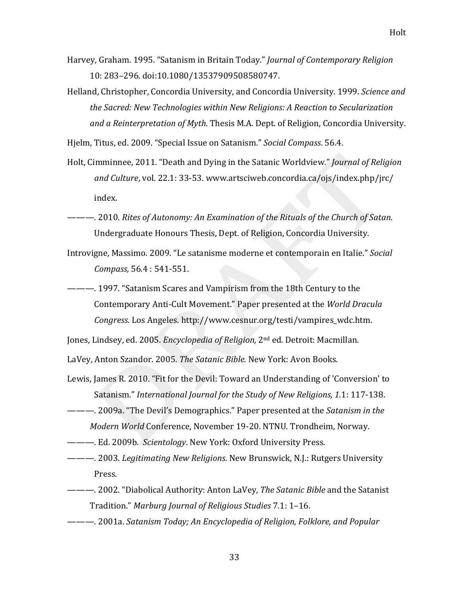Helland, Christopher, Concordia University, and Concordia University. 1999. *Science and the'Sacred:'New'Technologies'within'New'Religions:'A'Reaction'to'Secularization'* and a Reinterpretation of Myth. Thesis M.A. Dept. of Religion, Concordia University.

Hjelm, Titus, ed. 2009. "Special Issue on Satanism." *Social Compass*. 56.4.

- Holt, Cimminnee, 2011. "Death and Dying in the Satanic Worldview." *Journal of Religion and Culture, vol.* 22.1: 33-53. www.artsciweb.concordia.ca/ojs/index.php/jrc/ index.
- ———. 2010. *Rites of Autonomy: An Examination of the Rituals of the Church of Satan.* Undergraduate Honours Thesis, Dept. of Religion, Concordia University.
- Introvigne, Massimo. 2009. "Le satanisme moderne et contemporain en Italie." *Social Compass,* 56.4 : 541-551.
- ———. 1997. "Satanism Scares and Vampirism from the 18th Century to the Contemporary Anti-Cult Movement." Paper presented at the *World Dracula Congress.* Los Angeles. http://www.cesnur.org/testi/vampires\_wdc.htm.

Jones, Lindsey, ed. 2005. *Encyclopedia of Religion*, 2<sup>nd</sup> ed. Detroit: Macmillan.

LaVey, Anton Szandor. 2005. The Satanic Bible. New York: Avon Books.

- Lewis, James R. 2010. "Fit for the Devil: Toward an Understanding of 'Conversion' to Satanism." *International Journal for the Study of New Religions, 1.1: 117-138.*
- ———. 2009a. "The Devil's Demographics." Paper presented at the *Satanism in the Modern World* Conference, November 19-20. NTNU. Trondheim, Norway.
- ———. Ed. 2009b. *Scientology*. New York: Oxford University Press.
- ———. 2003. Legitimating New Religions. New Brunswick, N.J.: Rutgers University Press.
- ———. 2002. "Diabolical Authority: Anton LaVey, *The Satanic Bible* and the Satanist Tradition." *Marburg Journal of Religious Studies* 7.1: 1–16.
- ———.!2001a.!*Satanism'Today;'An'Encyclopedia of'Religion,'Folklore,'and'Popular'*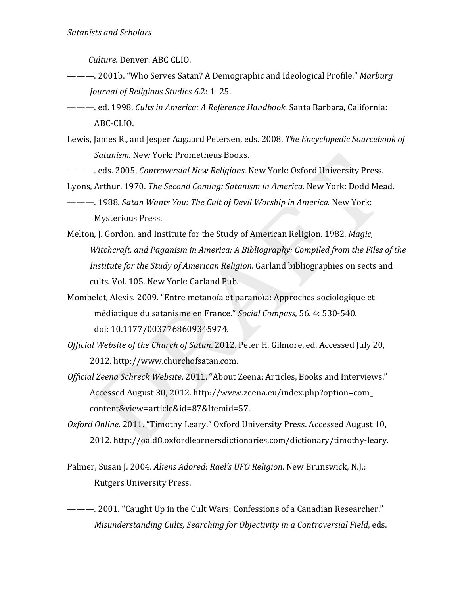Culture. Denver: ABC CLIO.

- Journal of Religious Studies 6.2: 1-25.
- ---- ed. 1998. Cults in America: A Reference Handbook. Santa Barbara, California: ABC-CLIO.
- Lewis, James R., and Jesper Aagaard Petersen, eds. 2008. The Encyclopedic Sourcebook of Satanism. New York: Prometheus Books.
- ------ eds. 2005. Controversial New Religions. New York: Oxford University Press.
- Lyons, Arthur. 1970. The Second Coming: Satanism in America. New York: Dodd Mead.
- **Mysterious Press.**
- Melton, J. Gordon, and Institute for the Study of American Religion. 1982. Magic, Witchcraft, and Paganism in America: A Bibliography: Compiled from the Files of the Institute for the Study of American Religion. Garland bibliographies on sects and cults. Vol. 105. New York: Garland Pub.
- Mombelet, Alexis. 2009. "Entre metanoïa et paranoïa: Approches sociologique et médiatique du satanisme en France." Social Compass, 56. 4: 530-540. doi: 10.1177/0037768609345974.
- Official Website of the Church of Satan. 2012. Peter H. Gilmore, ed. Accessed July 20, 2012. http://www.churchofsatan.com.
- Official Zeena Schreck Website. 2011. "About Zeena: Articles, Books and Interviews." Accessed August 30, 2012. http://www.zeena.eu/index.php?option=com\_ content&view=article&id=87&Itemid=57.
- Oxford Online. 2011. "Timothy Leary." Oxford University Press. Accessed August 10, 2012. http://oald8.oxfordlearnersdictionaries.com/dictionary/timothy-leary.
- Palmer, Susan J. 2004. Aliens Adored: Rael's UFO Religion. New Brunswick, N.J.: **Rutgers University Press.**
- Misunderstanding Cults, Searching for Objectivity in a Controversial Field, eds.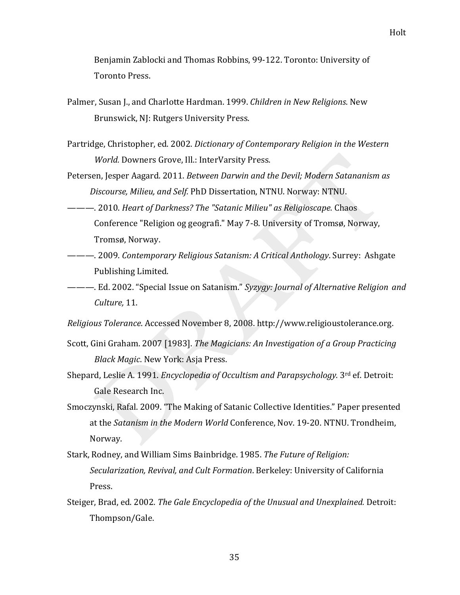Benjamin Zablocki and Thomas Robbins, 99-122. Toronto: University of Toronto Press.

- Palmer, Susan J., and Charlotte Hardman. 1999. *Children in New Religions*. New Brunswick, NJ: Rutgers University Press.
- Partridge, Christopher, ed. 2002. *Dictionary of Contemporary Religion in the Western World.* Downers Grove, Ill.: InterVarsity Press.
- Petersen, Jesper Aagard. 2011. *Between Darwin and the Devil; Modern Satananism as Discourse, Milieu, and Self.* PhD Dissertation, NTNU. Norway: NTNU.
- ———. 2010. *Heart of Darkness? The "Satanic Milieu" as Religioscape.* Chaos Conference "Religion og geografi." May 7-8. University of Tromsø, Norway, Tromsø, Norway.
- ———. 2009. *Contemporary Religious Satanism: A Critical Anthology*. Surrey: Ashgate Publishing Limited.

———. Ed. 2002. "Special Issue on Satanism." *Syzygy: Journal of Alternative Religion and Culture,* 11.

*Religious'Tolerance*.!Accessed!November!8,!2008.!http://www.religioustolerance.org.

- Scott, Gini Graham. 2007 [1983]. *The Magicians: An Investigation of a Group Practicing Black Magic*. New York: Asja Press.
- Shepard, Leslie A. 1991. *Encyclopedia of Occultism and Parapsychology*. 3<sup>rd</sup> ef. Detroit: Gale Research Inc.
- Smoczynski, Rafal. 2009. "The Making of Satanic Collective Identities." Paper presented at the *Satanism in the Modern World* Conference, Nov. 19-20. NTNU. Trondheim, Norway.
- Stark,!Rodney,!and!William!Sims!Bainbridge.!1985.!*The'Future'of Religion:' Secularization, Revival, and Cult Formation. Berkeley: University of California* Press.
- Steiger, Brad, ed. 2002. *The Gale Encyclopedia of the Unusual and Unexplained.* Detroit: Thompson/Gale.!